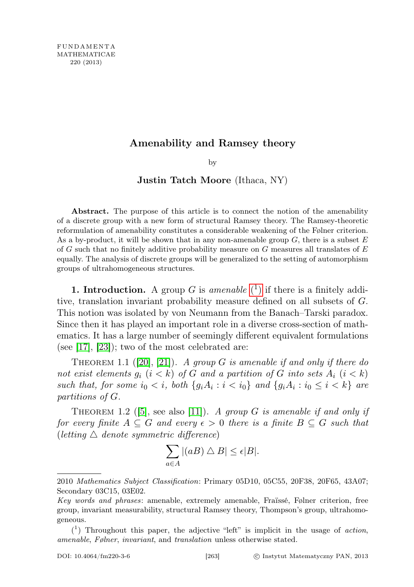## Amenability and Ramsey theory

by

## Justin Tatch Moore (Ithaca, NY)

Abstract. The purpose of this article is to connect the notion of the amenability of a discrete group with a new form of structural Ramsey theory. The Ramsey-theoretic reformulation of amenability constitutes a considerable weakening of the Følner criterion. As a by-product, it will be shown that in any non-amenable group  $G$ , there is a subset  $E$ of G such that no finitely additive probability measure on G measures all translates of  $E$ equally. The analysis of discrete groups will be generalized to the setting of automorphism groups of ultrahomogeneous structures.

**1. Introduction.** A group G is amenable  $(1)$  $(1)$  if there is a finitely additive, translation invariant probability measure defined on all subsets of G. This notion was isolated by von Neumann from the Banach–Tarski paradox. Since then it has played an important role in a diverse cross-section of mathematics. It has a large number of seemingly different equivalent formulations (see  $[17]$ ,  $[23]$ ); two of the most celebrated are:

THEOREM 1.1 ([\[20\]](#page-17-2), [\[21\]](#page-17-3)). A group G is amenable if and only if there do not exist elements  $g_i$   $(i < k)$  of G and a partition of G into sets  $A_i$   $(i < k)$ such that, for some  $i_0 < i$ , both  $\{g_i A_i : i < i_0\}$  and  $\{g_i A_i : i_0 \le i < k\}$  are partitions of G.

THEOREM 1.2 ([\[5\]](#page-17-4), see also [\[11\]](#page-17-5)). A group G is amenable if and only if for every finite  $A \subseteq G$  and every  $\epsilon > 0$  there is a finite  $B \subseteq G$  such that (letting  $\triangle$  denote symmetric difference)

$$
\sum_{a \in A} |(aB) \bigtriangleup B| \le \epsilon |B|.
$$

<sup>2010</sup> Mathematics Subject Classification: Primary 05D10, 05C55, 20F38, 20F65, 43A07; Secondary 03C15, 03E02.

Key words and phrases: amenable, extremely amenable, Fraïssé, Følner criterion, free group, invariant measurability, structural Ramsey theory, Thompson's group, ultrahomogeneous.

<span id="page-0-0"></span> $(1)$  Throughout this paper, the adjective "left" is implicit in the usage of action, amenable, Følner, invariant, and translation unless otherwise stated.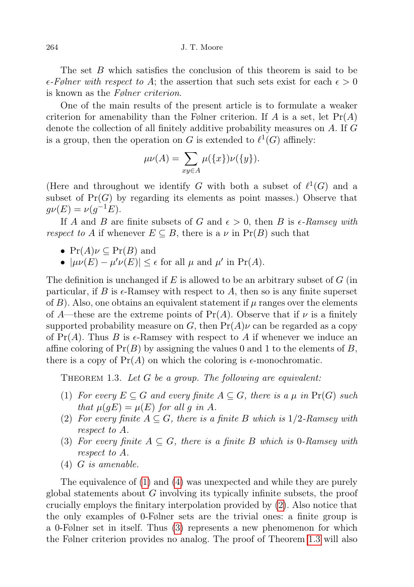The set B which satisfies the conclusion of this theorem is said to be  $\epsilon$ -Følner with respect to A; the assertion that such sets exist for each  $\epsilon > 0$ is known as the Følner criterion.

One of the main results of the present article is to formulate a weaker criterion for amenability than the Følner criterion. If A is a set, let  $Pr(A)$ denote the collection of all finitely additive probability measures on A. If G is a group, then the operation on G is extended to  $\ell^1(G)$  affinely:

$$
\mu\nu(A) = \sum_{xy \in A} \mu(\{x\})\nu(\{y\}).
$$

(Here and throughout we identify G with both a subset of  $\ell^1(G)$  and a subset of  $Pr(G)$  by regarding its elements as point masses.) Observe that  $g\nu(E) = \nu(g^{-1}E).$ 

If A and B are finite subsets of G and  $\epsilon > 0$ , then B is  $\epsilon$ -Ramsey with respect to A if whenever  $E \subseteq B$ , there is a  $\nu$  in  $Pr(B)$  such that

•  $Pr(A)\nu \subseteq Pr(B)$  and

•  $|\mu\nu(E) - \mu'\nu(E)| \leq \epsilon$  for all  $\mu$  and  $\mu'$  in Pr(A).

The definition is unchanged if E is allowed to be an arbitrary subset of  $G$  (in particular, if B is  $\epsilon$ -Ramsey with respect to A, then so is any finite superset of  $B$ ). Also, one obtains an equivalent statement if  $\mu$  ranges over the elements of A—these are the extreme points of  $Pr(A)$ . Observe that if  $\nu$  is a finitely supported probability measure on G, then  $Pr(A)\nu$  can be regarded as a copy of  $Pr(A)$ . Thus B is  $\epsilon$ -Ramsey with respect to A if whenever we induce an affine coloring of  $Pr(B)$  by assigning the values 0 and 1 to the elements of B, there is a copy of  $Pr(A)$  on which the coloring is  $\epsilon$ -monochromatic.

<span id="page-1-4"></span>THEOREM 1.3. Let  $G$  be a group. The following are equivalent:

- <span id="page-1-0"></span>(1) For every  $E \subseteq G$  and every finite  $A \subseteq G$ , there is a  $\mu$  in  $Pr(G)$  such that  $\mu(qE) = \mu(E)$  for all q in A.
- <span id="page-1-2"></span>(2) For every finite  $A \subseteq G$ , there is a finite B which is 1/2-Ramsey with respect to A.
- <span id="page-1-3"></span>(3) For every finite  $A \subseteq G$ , there is a finite B which is 0-Ramsey with respect to A.
- <span id="page-1-1"></span>(4) G is amenable.

The equivalence of [\(1\)](#page-1-0) and [\(4\)](#page-1-1) was unexpected and while they are purely global statements about  $G$  involving its typically infinite subsets, the proof crucially employs the finitary interpolation provided by [\(2\)](#page-1-2). Also notice that the only examples of 0-Følner sets are the trivial ones: a finite group is a 0-Følner set in itself. Thus [\(3\)](#page-1-3) represents a new phenomenon for which the Følner criterion provides no analog. The proof of Theorem [1.3](#page-1-4) will also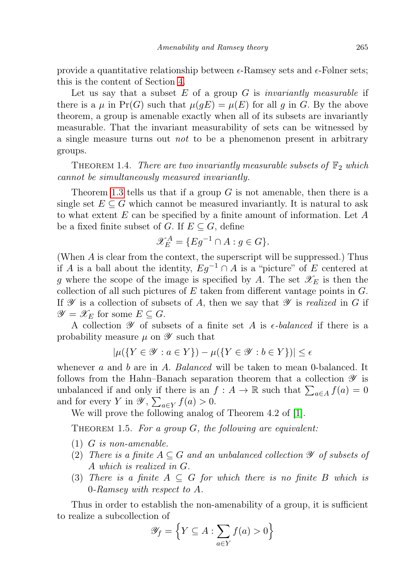provide a quantitative relationship between  $\epsilon$ -Ramsey sets and  $\epsilon$ -Følner sets; this is the content of Section [4.](#page-8-0)

Let us say that a subset  $E$  of a group  $G$  is *invariantly measurable* if there is a  $\mu$  in Pr(G) such that  $\mu(gE) = \mu(E)$  for all g in G. By the above theorem, a group is amenable exactly when all of its subsets are invariantly measurable. That the invariant measurability of sets can be witnessed by a single measure turns out not to be a phenomenon present in arbitrary groups.

<span id="page-2-0"></span>THEOREM 1.4. There are two invariantly measurable subsets of  $\mathbb{F}_2$  which cannot be simultaneously measured invariantly.

Theorem [1.3](#page-1-4) tells us that if a group  $G$  is not amenable, then there is a single set  $E \subseteq G$  which cannot be measured invariantly. It is natural to ask to what extent  $E$  can be specified by a finite amount of information. Let  $A$ be a fixed finite subset of G. If  $E \subseteq G$ , define

$$
\mathscr{X}_E^A = \{ Eg^{-1} \cap A : g \in G\}.
$$

(When A is clear from the context, the superscript will be suppressed.) Thus if A is a ball about the identity,  $Eg^{-1} \cap A$  is a "picture" of E centered at g where the scope of the image is specified by A. The set  $\mathscr{X}_E$  is then the collection of all such pictures of  $E$  taken from different vantage points in  $G$ . If  $\mathscr Y$  is a collection of subsets of A, then we say that  $\mathscr Y$  is realized in G if  $\mathscr{Y} = \mathscr{X}_E$  for some  $E \subseteq G$ .

A collection  $\mathscr Y$  of subsets of a finite set A is  $\epsilon$ -balanced if there is a probability measure  $\mu$  on  $\mathscr Y$  such that

$$
|\mu({Y \in \mathscr{Y} : a \in Y}) - \mu({Y \in \mathscr{Y} : b \in Y})| \le \epsilon
$$

whenever  $a$  and  $b$  are in  $A$ . Balanced will be taken to mean 0-balanced. It follows from the Hahn–Banach separation theorem that a collection  $\mathscr Y$  is unbalanced if and only if there is an  $f : A \to \mathbb{R}$  such that  $\sum_{a \in A} f(a) = 0$ and for every Y in  $\mathscr{Y}, \sum_{a \in Y} f(a) > 0$ .

We will prove the following analog of Theorem 4.2 of [\[1\]](#page-17-6).

<span id="page-2-1"></span>THEOREM 1.5. For a group  $G$ , the following are equivalent:

- <span id="page-2-2"></span>(1) G is non-amenable.
- <span id="page-2-3"></span>(2) There is a finite  $A \subseteq G$  and an unbalanced collection  $\mathscr Y$  of subsets of A which is realized in G.
- <span id="page-2-4"></span>(3) There is a finite  $A \subseteq G$  for which there is no finite B which is 0-Ramsey with respect to A.

Thus in order to establish the non-amenability of a group, it is sufficient to realize a subcollection of

$$
\mathscr{Y}_f = \left\{ Y \subseteq A : \sum_{a \in Y} f(a) > 0 \right\}
$$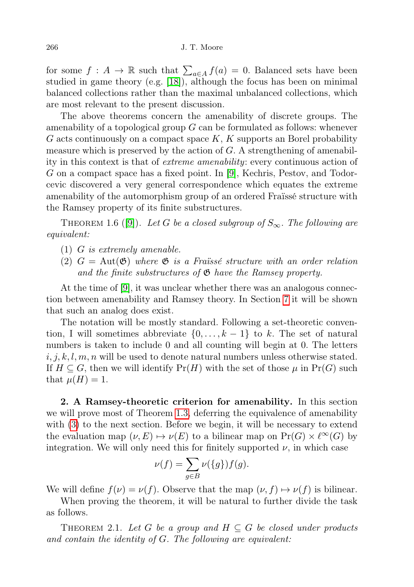for some  $f: A \to \mathbb{R}$  such that  $\sum_{a \in A} f(a) = 0$ . Balanced sets have been studied in game theory (e.g. [\[18\]](#page-17-7)), although the focus has been on minimal balanced collections rather than the maximal unbalanced collections, which are most relevant to the present discussion.

The above theorems concern the amenability of discrete groups. The amenability of a topological group G can be formulated as follows: whenever G acts continuously on a compact space  $K$ ,  $K$  supports an Borel probability measure which is preserved by the action of  $G$ . A strengthening of amenability in this context is that of extreme amenability: every continuous action of G on a compact space has a fixed point. In [\[9\]](#page-17-8), Kechris, Pestov, and Todorcevic discovered a very general correspondence which equates the extreme amenability of the automorphism group of an ordered Fraïssé structure with the Ramsey property of its finite substructures.

THEOREM 1.6 ([\[9\]](#page-17-8)). Let G be a closed subgroup of  $S_{\infty}$ . The following are equivalent:

- (1) G is extremely amenable.
- (2)  $G = \text{Aut}(\mathfrak{G})$  where  $\mathfrak{G}$  is a Fraïssé structure with an order relation and the finite substructures of  $\mathfrak{G}$  have the Ramsey property.

At the time of [\[9\]](#page-17-8), it was unclear whether there was an analogous connection between amenability and Ramsey theory. In Section [7](#page-12-0) it will be shown that such an analog does exist.

The notation will be mostly standard. Following a set-theoretic convention, I will sometimes abbreviate  $\{0, \ldots, k-1\}$  to k. The set of natural numbers is taken to include 0 and all counting will begin at 0. The letters  $i, j, k, l, m, n$  will be used to denote natural numbers unless otherwise stated. If  $H \subseteq G$ , then we will identify  $Pr(H)$  with the set of those  $\mu$  in  $Pr(G)$  such that  $\mu(H) = 1$ .

2. A Ramsey-theoretic criterion for amenability. In this section we will prove most of Theorem [1.3,](#page-1-4) deferring the equivalence of amenability with [\(3\)](#page-1-3) to the next section. Before we begin, it will be necessary to extend the evaluation map  $(\nu, E) \mapsto \nu(E)$  to a bilinear map on  $Pr(G) \times \ell^{\infty}(G)$  by integration. We will only need this for finitely supported  $\nu$ , in which case

$$
\nu(f) = \sum_{g \in B} \nu(\{g\}) f(g).
$$

We will define  $f(\nu) = \nu(f)$ . Observe that the map  $(\nu, f) \mapsto \nu(f)$  is bilinear.

When proving the theorem, it will be natural to further divide the task as follows.

<span id="page-3-0"></span>THEOREM 2.1. Let G be a group and  $H \subseteq G$  be closed under products and contain the identity of G. The following are equivalent: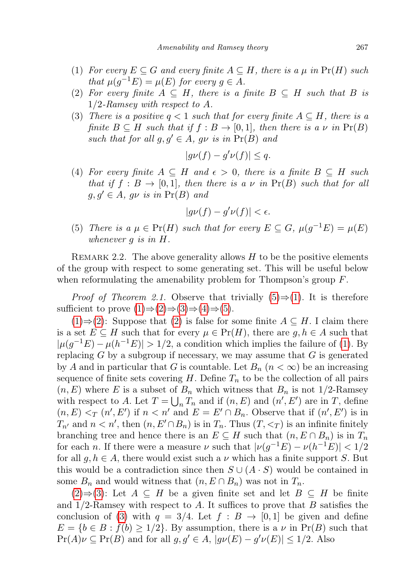- <span id="page-4-1"></span>(1) For every  $E \subseteq G$  and every finite  $A \subseteq H$ , there is a  $\mu$  in  $Pr(H)$  such that  $\mu(g^{-1}E) = \mu(E)$  for every  $g \in A$ .
- <span id="page-4-2"></span>(2) For every finite  $A \subseteq H$ , there is a finite  $B \subseteq H$  such that B is 1/2-Ramsey with respect to A.
- <span id="page-4-3"></span>(3) There is a positive  $q < 1$  such that for every finite  $A \subseteq H$ , there is a finite  $B \subseteq H$  such that if  $f : B \to [0,1]$ , then there is a  $\nu$  in  $Pr(B)$ such that for all  $g, g' \in A$ ,  $g\nu$  is in  $Pr(B)$  and

$$
|g\nu(f) - g'\nu(f)| \le q.
$$

<span id="page-4-4"></span>(4) For every finite  $A \subseteq H$  and  $\epsilon > 0$ , there is a finite  $B \subseteq H$  such that if  $f : B \to [0,1]$ , then there is a  $\nu$  in  $Pr(B)$  such that for all  $g, g' \in A$ ,  $g\nu$  is in  $Pr(B)$  and

$$
|g\nu(f) - g'\nu(f)| < \epsilon.
$$

<span id="page-4-0"></span>(5) There is a  $\mu \in Pr(H)$  such that for every  $E \subseteq G$ ,  $\mu(g^{-1}E) = \mu(E)$ whenever g is in H.

REMARK 2.2. The above generality allows  $H$  to be the positive elements of the group with respect to some generating set. This will be useful below when reformulating the amenability problem for Thompson's group  $F$ .

*Proof of Theorem 2.1.* Observe that trivially  $(5) \Rightarrow (1)$  $(5) \Rightarrow (1)$  $(5) \Rightarrow (1)$ . It is therefore sufficient to prove  $(1) \Rightarrow (2) \Rightarrow (3) \Rightarrow (4) \Rightarrow (5)$  $(1) \Rightarrow (2) \Rightarrow (3) \Rightarrow (4) \Rightarrow (5)$  $(1) \Rightarrow (2) \Rightarrow (3) \Rightarrow (4) \Rightarrow (5)$  $(1) \Rightarrow (2) \Rightarrow (3) \Rightarrow (4) \Rightarrow (5)$  $(1) \Rightarrow (2) \Rightarrow (3) \Rightarrow (4) \Rightarrow (5)$  $(1) \Rightarrow (2) \Rightarrow (3) \Rightarrow (4) \Rightarrow (5)$  $(1) \Rightarrow (2) \Rightarrow (3) \Rightarrow (4) \Rightarrow (5)$  $(1) \Rightarrow (2) \Rightarrow (3) \Rightarrow (4) \Rightarrow (5)$  $(1) \Rightarrow (2) \Rightarrow (3) \Rightarrow (4) \Rightarrow (5)$ .

 $(1) \Rightarrow (2)$  $(1) \Rightarrow (2)$  $(1) \Rightarrow (2)$ : Suppose that  $(2)$  is false for some finite  $A ⊂ H$ . I claim there is a set  $E \subseteq H$  such that for every  $\mu \in \Pr(H)$ , there are  $g, h \in A$  such that  $|\mu(g^{-1}E) - \mu(h^{-1}E)| > 1/2$ , a condition which implies the failure of [\(1\)](#page-4-1). By replacing  $G$  by a subgroup if necessary, we may assume that  $G$  is generated by A and in particular that G is countable. Let  $B_n$   $(n < \infty)$  be an increasing sequence of finite sets covering  $H$ . Define  $T_n$  to be the collection of all pairs  $(n, E)$  where E is a subset of  $B_n$  which witness that  $B_n$  is not 1/2-Ramsey with respect to A. Let  $T = \bigcup_n T_n$  and if  $(n, E)$  and  $(n', E')$  are in T, define  $(n, E) <_T (n', E')$  if  $n < n'$  and  $E = E' \cap B_n$ . Observe that if  $(n', E')$  is in  $T_{n'}$  and  $n < n'$ , then  $(n, E' \cap B_n)$  is in  $T_n$ . Thus  $(T, \leq_T)$  is an infinite finitely branching tree and hence there is an  $E \subseteq H$  such that  $(n, E \cap B_n)$  is in  $T_n$ for each *n*. If there were a measure  $\nu$  such that  $|\nu(g^{-1}E) - \nu(h^{-1}E)| < 1/2$ for all  $g, h \in A$ , there would exist such a  $\nu$  which has a finite support S. But this would be a contradiction since then  $S \cup (A \cdot S)$  would be contained in some  $B_n$  and would witness that  $(n, E \cap B_n)$  was not in  $T_n$ .

 $(2) \Rightarrow (3)$  $(2) \Rightarrow (3)$  $(2) \Rightarrow (3)$ : Let  $A ⊆ H$  be a given finite set and let  $B ⊆ H$  be finite and  $1/2$ -Ramsey with respect to A. It suffices to prove that B satisfies the conclusion of [\(3\)](#page-4-3) with  $q = 3/4$ . Let  $f : B \rightarrow [0, 1]$  be given and define  $E = \{b \in B : f(b) \ge 1/2\}$ . By assumption, there is a  $\nu$  in  $Pr(B)$  such that  $Pr(A)\nu \subseteq Pr(B)$  and for all  $g, g' \in A$ ,  $|g\nu(E) - g'\nu(E)| \leq 1/2$ . Also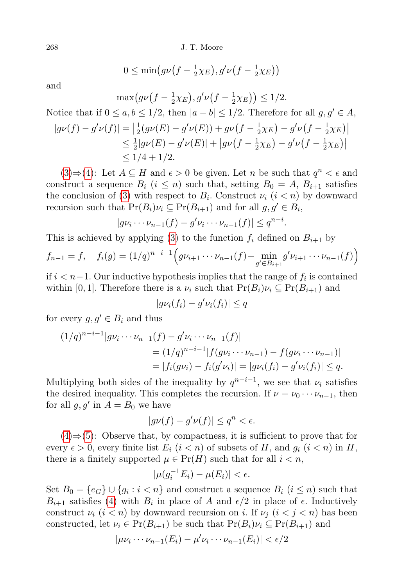$$
0 \le \min\bigl(g\nu\bigl(f - \frac{1}{2}\chi_E\bigr), g'\nu\bigl(f - \frac{1}{2}\chi_E\bigr)\bigr)
$$

and

$$
\max(g\nu(f - \frac{1}{2}\chi_E), g'\nu(f - \frac{1}{2}\chi_E)) \le 1/2.
$$

Notice that if  $0 \le a, b \le 1/2$ , then  $|a - b| \le 1/2$ . Therefore for all  $g, g' \in A$ ,

$$
|g\nu(f) - g'\nu(f)| = \left| \frac{1}{2} (g\nu(E) - g'\nu(E)) + g\nu(f - \frac{1}{2}\chi_E) - g'\nu(f - \frac{1}{2}\chi_E) \right|
$$
  
\n
$$
\leq \frac{1}{2} |g\nu(E) - g'\nu(E)| + |g\nu(f - \frac{1}{2}\chi_E) - g'\nu(f - \frac{1}{2}\chi_E)|
$$
  
\n
$$
\leq 1/4 + 1/2.
$$

[\(3\)](#page-4-3)⇒[\(4\)](#page-4-4): Let  $A \subseteq H$  and  $\epsilon > 0$  be given. Let n be such that  $q^n < \epsilon$  and construct a sequence  $B_i$   $(i \leq n)$  such that, setting  $B_0 = A$ ,  $B_{i+1}$  satisfies the conclusion of [\(3\)](#page-4-3) with respect to  $B_i$ . Construct  $\nu_i$   $(i < n)$  by downward recursion such that  $Pr(B_i)\nu_i \subseteq Pr(B_{i+1})$  and for all  $g, g' \in B_i$ ,

$$
|g\nu_i\cdots\nu_{n-1}(f)-g'\nu_i\cdots\nu_{n-1}(f)|\leq q^{n-i}.
$$

This is achieved by applying [\(3\)](#page-4-3) to the function  $f_i$  defined on  $B_{i+1}$  by

$$
f_{n-1} = f, \quad f_i(g) = (1/q)^{n-i-1} \Big( g \nu_{i+1} \cdots \nu_{n-1}(f) - \min_{g' \in B_{i+1}} g' \nu_{i+1} \cdots \nu_{n-1}(f) \Big)
$$

if  $i < n-1$ . Our inductive hypothesis implies that the range of  $f_i$  is contained within [0, 1]. Therefore there is a  $\nu_i$  such that  $Pr(B_i)\nu_i \subseteq Pr(B_{i+1})$  and

$$
|g\nu_i(f_i) - g'\nu_i(f_i)| \le q
$$

for every  $g, g' \in B_i$  and thus

$$
(1/q)^{n-i-1}|g\nu_i \cdots \nu_{n-1}(f) - g'\nu_i \cdots \nu_{n-1}(f)|
$$
  
=  $(1/q)^{n-i-1}|f(g\nu_i \cdots \nu_{n-1}) - f(g\nu_i \cdots \nu_{n-1})|$   
=  $|f_i(g\nu_i) - f_i(g'\nu_i)| = |g\nu_i(f_i) - g'\nu_i(f_i)| \le q$ .

Multiplying both sides of the inequality by  $q^{n-i-1}$ , we see that  $\nu_i$  satisfies the desired inequality. This completes the recursion. If  $\nu = \nu_0 \cdots \nu_{n-1}$ , then for all  $g, g'$  in  $A = B_0$  we have

$$
|g\nu(f) - g'\nu(f)| \le q^n < \epsilon.
$$

 $(4) \Rightarrow (5)$  $(4) \Rightarrow (5)$  $(4) \Rightarrow (5)$ : Observe that, by compactness, it is sufficient to prove that for every  $\epsilon > 0$ , every finite list  $E_i$   $(i < n)$  of subsets of H, and  $g_i$   $(i < n)$  in H, there is a finitely supported  $\mu \in Pr(H)$  such that for all  $i < n$ ,

$$
|\mu(g_i^{-1}E_i) - \mu(E_i)| < \epsilon.
$$

Set  $B_0 = \{e_G\} \cup \{g_i : i < n\}$  and construct a sequence  $B_i$   $(i \leq n)$  such that  $B_{i+1}$  satisfies [\(4\)](#page-4-4) with  $B_i$  in place of A and  $\epsilon/2$  in place of  $\epsilon$ . Inductively construct  $\nu_i$  ( $i < n$ ) by downward recursion on i. If  $\nu_j$  ( $i < j < n$ ) has been constructed, let  $\nu_i \in Pr(B_{i+1})$  be such that  $Pr(B_i)\nu_i \subseteq Pr(B_{i+1})$  and

$$
|\mu\nu_i\cdots\nu_{n-1}(E_i) - \mu'\nu_i\cdots\nu_{n-1}(E_i)| < \epsilon/2
$$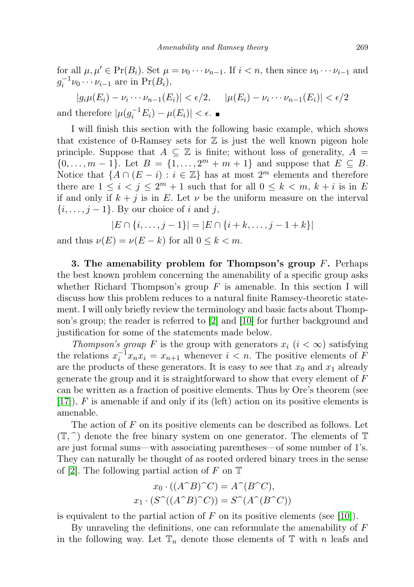for all  $\mu, \mu' \in Pr(B_i)$ . Set  $\mu = \nu_0 \cdots \nu_{n-1}$ . If  $i < n$ , then since  $\nu_0 \cdots \nu_{i-1}$  and  $g_i^{-1} \nu_0 \cdots \nu_{i-1}$  are in  $Pr(B_i)$ ,

 $|g_i\mu(E_i) - \nu_i \cdots \nu_{n-1}(E_i)| < \epsilon/2, \quad |\mu(E_i) - \nu_i \cdots \nu_{n-1}(E_i)| < \epsilon/2$ and therefore  $|\mu(g_i^{-1}E_i) - \mu(E_i)| < \epsilon$ .

I will finish this section with the following basic example, which shows that existence of 0-Ramsey sets for  $\mathbb Z$  is just the well known pigeon hole principle. Suppose that  $A \subseteq \mathbb{Z}$  is finite; without loss of generality,  $A =$  $\{0, \ldots, m-1\}$ . Let  $B = \{1, \ldots, 2^m + m + 1\}$  and suppose that  $E \subseteq B$ . Notice that  $\{A \cap (E - i) : i \in \mathbb{Z}\}\$  has at most  $2^m$  elements and therefore there are  $1 \leq i < j \leq 2^m + 1$  such that for all  $0 \leq k < m, k + i$  is in E if and only if  $k + j$  is in E. Let  $\nu$  be the uniform measure on the interval  $\{i, \ldots, j-1\}$ . By our choice of i and j,

$$
|E \cap \{i, \ldots, j-1\}| = |E \cap \{i+k, \ldots, j-1+k\}|
$$

and thus  $\nu(E) = \nu(E - k)$  for all  $0 \leq k < m$ .

3. The amenability problem for Thompson's group  $F$ . Perhaps the best known problem concerning the amenability of a specific group asks whether Richard Thompson's group  $F$  is amenable. In this section I will discuss how this problem reduces to a natural finite Ramsey-theoretic statement. I will only briefly review the terminology and basic facts about Thompson's group; the reader is referred to [\[2\]](#page-17-9) and [\[10\]](#page-17-10) for further background and justification for some of the statements made below.

Thompson's group F is the group with generators  $x_i$   $(i < \infty)$  satisfying the relations  $x_i^{-1}x_nx_i = x_{n+1}$  whenever  $i < n$ . The positive elements of F are the products of these generators. It is easy to see that  $x_0$  and  $x_1$  already generate the group and it is straightforward to show that every element of F can be written as a fraction of positive elements. Thus by Ore's theorem (see  $[17]$ , F is amenable if and only if its (left) action on its positive elements is amenable.

The action of F on its positive elements can be described as follows. Let  $(\mathbb{T}, \hat{\ })$  denote the free binary system on one generator. The elements of  $\mathbb{T}$ are just formal sums—with associating parentheses—of some number of 1's. They can naturally be thought of as rooted ordered binary trees in the sense of [\[2\]](#page-17-9). The following partial action of F on  $\mathbb T$ 

$$
x_0 \cdot ((A^\cap B)^\cap C) = A^\cap (B^\cap C),
$$
  

$$
x_1 \cdot (S^\cap ((A^\cap B)^\cap C)) = S^\cap (A^\cap (B^\cap C))
$$

is equivalent to the partial action of  $F$  on its positive elements (see [\[10\]](#page-17-10)).

By unraveling the definitions, one can reformulate the amenability of  $F$ in the following way. Let  $\mathbb{T}_n$  denote those elements of  $\mathbb{T}$  with n leafs and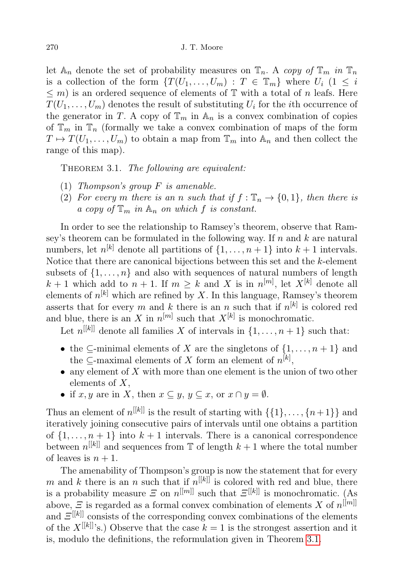let  $\mathbb{A}_n$  denote the set of probability measures on  $\mathbb{T}_n$ . A copy of  $\mathbb{T}_m$  in  $\mathbb{T}_n$ is a collection of the form  $\{T(U_1, \ldots, U_m) : T \in \mathbb{T}_m\}$  where  $U_i$   $(1 \leq i$  $\leq$  m) is an ordered sequence of elements of  $\mathbb T$  with a total of n leafs. Here  $T(U_1, \ldots, U_m)$  denotes the result of substituting  $U_i$  for the *i*th occurrence of the generator in T. A copy of  $\mathbb{T}_m$  in  $\mathbb{A}_n$  is a convex combination of copies of  $\mathbb{T}_m$  in  $\mathbb{T}_n$  (formally we take a convex combination of maps of the form  $T \mapsto T(U_1, \ldots, U_m)$  to obtain a map from  $\mathbb{T}_m$  into  $\mathbb{A}_n$  and then collect the range of this map).

<span id="page-7-0"></span>THEOREM 3.1. The following are equivalent:

- (1) Thompson's group  $F$  is amenable.
- (2) For every m there is an n such that if  $f : \mathbb{T}_n \to \{0,1\}$ , then there is a copy of  $\mathbb{T}_m$  in  $\mathbb{A}_n$  on which f is constant.

In order to see the relationship to Ramsey's theorem, observe that Ramsey's theorem can be formulated in the following way. If  $n$  and  $k$  are natural numbers, let  $n^{[k]}$  denote all partitions of  $\{1, \ldots, n+1\}$  into  $k+1$  intervals. Notice that there are canonical bijections between this set and the k-element subsets of  $\{1, \ldots, n\}$  and also with sequences of natural numbers of length  $k+1$  which add to  $n+1$ . If  $m \geq k$  and X is in  $n^{[m]}$ , let  $X^{[k]}$  denote all elements of  $n^{[k]}$  which are refined by X. In this language, Ramsey's theorem asserts that for every m and k there is an n such that if  $n^{[k]}$  is colored red and blue, there is an X in  $n^{[m]}$  such that  $X^{[k]}$  is monochromatic.

Let  $n^{[[k]]}$  denote all families X of intervals in  $\{1, \ldots, n+1\}$  such that:

- the  $\subseteq$ -minimal elements of X are the singletons of  $\{1, \ldots, n+1\}$  and the  $\subseteq$ -maximal elements of X form an element of  $n^{[k]}$ ,
- any element of  $X$  with more than one element is the union of two other elements of  $X$ ,
- if  $x, y$  are in X, then  $x \subseteq y, y \subseteq x$ , or  $x \cap y = \emptyset$ .

Thus an element of  $n^{[[k]]}$  is the result of starting with  $\{\{1\},\ldots,\{n+1\}\}\$  and iteratively joining consecutive pairs of intervals until one obtains a partition of  $\{1, \ldots, n+1\}$  into  $k+1$  intervals. There is a canonical correspondence between  $n^{[[k]]}$  and sequences from  $\mathbb T$  of length  $k+1$  where the total number of leaves is  $n + 1$ .

The amenability of Thompson's group is now the statement that for every m and k there is an n such that if  $n^{[[k]]}$  is colored with red and blue, there is a probability measure  $E$  on  $n^{[[m]]}$  such that  $E^{[[k]]}$  is monochromatic. (As above,  $\mathcal{Z}$  is regarded as a formal convex combination of elements X of  $n^{[[m]]}$ and  $E^{[[k]]}$  consists of the corresponding convex combinations of the elements of the  $X^{[[k]]'}$ s.) Observe that the case  $k = 1$  is the strongest assertion and it is, modulo the definitions, the reformulation given in Theorem [3.1.](#page-7-0)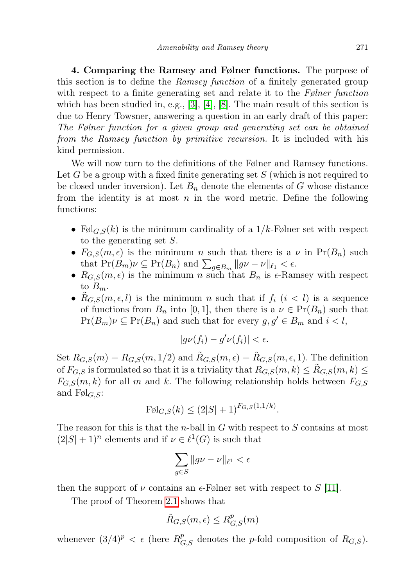<span id="page-8-0"></span>4. Comparing the Ramsey and Følner functions. The purpose of this section is to define the Ramsey function of a finitely generated group with respect to a finite generating set and relate it to the Følner function which has been studied in, e.g.,  $[3], [4], [8]$  $[3], [4], [8]$  $[3], [4], [8]$  $[3], [4], [8]$  $[3], [4], [8]$ . The main result of this section is due to Henry Towsner, answering a question in an early draft of this paper: The Følner function for a given group and generating set can be obtained from the Ramsey function by primitive recursion. It is included with his kind permission.

We will now turn to the definitions of the Følner and Ramsey functions. Let  $G$  be a group with a fixed finite generating set  $S$  (which is not required to be closed under inversion). Let  $B_n$  denote the elements of G whose distance from the identity is at most  $n$  in the word metric. Define the following functions:

- Føl<sub>G,S</sub> $(k)$  is the minimum cardinality of a  $1/k$ -Følner set with respect to the generating set S.
- $F_{G,S}(m, \epsilon)$  is the minimum n such that there is a  $\nu$  in  $Pr(B_n)$  such that  $Pr(B_m)\nu \subseteq Pr(B_n)$  and  $\sum_{g\in B_m} ||g\nu - \nu||_{\ell_1} < \epsilon$ .
- $R_{G,S}(m, \epsilon)$  is the minimum n such that  $B_n$  is  $\epsilon$ -Ramsey with respect to  $B_m$ .
- $R_{G,S}(m, \epsilon, l)$  is the minimum n such that if  $f_i$   $(i < l)$  is a sequence of functions from  $B_n$  into [0, 1], then there is a  $\nu \in Pr(B_n)$  such that  $Pr(B_m)\nu \subseteq Pr(B_n)$  and such that for every  $g, g' \in B_m$  and  $i < l$ ,

$$
|g\nu(f_i)-g'\nu(f_i)|<\epsilon.
$$

Set  $R_{G,S}(m) = R_{G,S}(m, 1/2)$  and  $R_{G,S}(m, \epsilon) = R_{G,S}(m, \epsilon, 1)$ . The definition of  $F_{G,S}$  is formulated so that it is a triviality that  $R_{G,S}(m, k) \leq R_{G,S}(m, k) \leq$  $F_{G,S}(m, k)$  for all m and k. The following relationship holds between  $F_{G,S}$ and  $F\mathcal{O}\mathcal{A}_{G,S}$ :

$$
\mathrm{Føl}_{G,S}(k) \le (2|S|+1)^{F_{G,S}(1,1/k)}.
$$

The reason for this is that the *n*-ball in  $G$  with respect to  $S$  contains at most  $(2|S|+1)^n$  elements and if  $\nu \in \ell^1(G)$  is such that

$$
\sum_{g\in S} \|g\nu-\nu\|_{\ell^1}<\epsilon
$$

then the support of  $\nu$  contains an  $\epsilon$ -Følner set with respect to S [\[11\]](#page-17-5).

The proof of Theorem [2.1](#page-3-0) shows that

$$
\tilde{R}_{G,S}(m,\epsilon) \leq R^p_{G,S}(m)
$$

whenever  $(3/4)^p < \epsilon$  (here  $R_{G,S}^p$  denotes the *p*-fold composition of  $R_{G,S}$ ).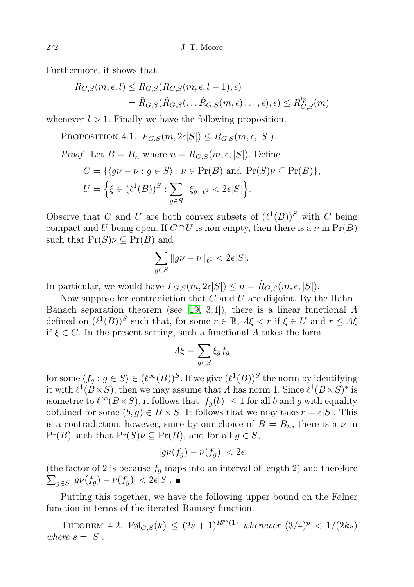Furthermore, it shows that

$$
\tilde{R}_{G,S}(m,\epsilon,l) \leq \tilde{R}_{G,S}(\tilde{R}_{G,S}(m,\epsilon,l-1),\epsilon)
$$
\n
$$
= \tilde{R}_{G,S}(\tilde{R}_{G,S}(\ldots\tilde{R}_{G,S}(m,\epsilon)\ldots,\epsilon),\epsilon) \leq R_{G,S}^{lp}(m)
$$

whenever  $l > 1$ . Finally we have the following proposition.

PROPOSITION 4.1.  $F_{G,S}(m, 2\epsilon|S|) \leq \tilde{R}_{G,S}(m, \epsilon, |S|).$ 

*Proof.* Let 
$$
B = B_n
$$
 where  $n = \tilde{R}_{G,S}(m, \epsilon, |S|)$ . Define  
\n
$$
C = \{ \langle g\nu - \nu : g \in S \rangle : \nu \in \Pr(B) \text{ and } \Pr(S)\nu \subseteq \Pr(B) \},
$$
\n
$$
U = \left\{ \xi \in (\ell^1(B))^S : \sum_{g \in S} ||\xi_g||_{\ell^1} < 2\epsilon|S| \right\}.
$$

Observe that C and U are both convex subsets of  $(\ell^1(B))^S$  with C being compact and U being open. If  $C \cap U$  is non-empty, then there is a  $\nu$  in  $Pr(B)$ such that  $Pr(S)\nu \subseteq Pr(B)$  and

$$
\sum_{g\in S} \|gv - \nu\|_{\ell^1} < 2\epsilon|S|.
$$

In particular, we would have  $F_{G,S}(m, 2\epsilon|S|) \leq n = \tilde{R}_{G,S}(m, \epsilon, |S|).$ 

Now suppose for contradiction that  $C$  and  $U$  are disjoint. By the Hahn– Banach separation theorem (see [\[19,](#page-17-14) 3.4]), there is a linear functional Λ defined on  $(\ell^1(B))^S$  such that, for some  $r \in \mathbb{R}$ ,  $\Lambda \xi \leq r$  if  $\xi \in U$  and  $r \leq \Lambda \xi$ if  $\xi \in C$ . In the present setting, such a functional  $\Lambda$  takes the form

$$
\Lambda \xi = \sum_{g \in S} \xi_g f_g
$$

for some  $\langle f_g : g \in S \rangle \in (\ell^{\infty}(B))^{S}$ . If we give  $(\ell^{1}(B))^{S}$  the norm by identifying it with  $\ell^1(B\times S)$ , then we may assume that  $\Lambda$  has norm 1. Since  $\ell^1(B\times S)^*$  is isometric to  $\ell^{\infty}(B\times S)$ , it follows that  $|f_q(b)| \leq 1$  for all b and g with equality obtained for some  $(b, g) \in B \times S$ . It follows that we may take  $r = \epsilon |S|$ . This is a contradiction, however, since by our choice of  $B = B_n$ , there is a  $\nu$  in  $Pr(B)$  such that  $Pr(S)\nu \subseteq Pr(B)$ , and for all  $g \in S$ ,

$$
|g\nu(f_g)-\nu(f_g)|<2\epsilon
$$

(the factor of 2 is because  $f<sub>g</sub>$  maps into an interval of length 2) and therefore  $\sum_{g \in S} |g\nu(f_g) - \nu(f_g)| < 2\epsilon |S|.$ 

Putting this together, we have the following upper bound on the Følner function in terms of the iterated Ramsey function.

THEOREM 4.2.  $F \otimes I_{G,S}(k) \leq (2s+1)^{R^{ps}(1)}$  whenever  $(3/4)^p < 1/(2ks)$ where  $s = |S|$ .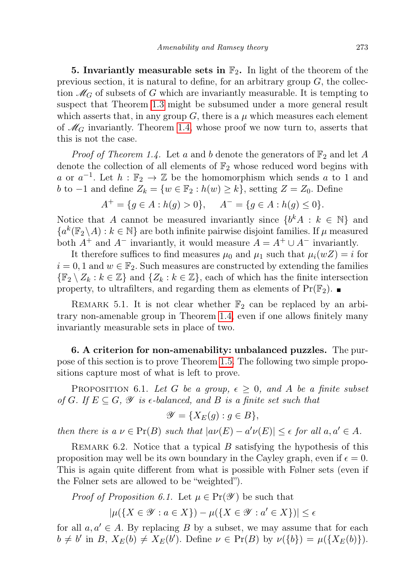5. Invariantly measurable sets in  $\mathbb{F}_2$ . In light of the theorem of the previous section, it is natural to define, for an arbitrary group  $G$ , the collection  $\mathcal{M}_G$  of subsets of G which are invariantly measurable. It is tempting to suspect that Theorem [1.3](#page-1-4) might be subsumed under a more general result which asserts that, in any group G, there is a  $\mu$  which measures each element of  $\mathcal{M}_G$  invariantly. Theorem [1.4,](#page-2-0) whose proof we now turn to, asserts that this is not the case.

*Proof of Theorem 1.4.* Let a and b denote the generators of  $\mathbb{F}_2$  and let A denote the collection of all elements of  $\mathbb{F}_2$  whose reduced word begins with a or  $a^{-1}$ . Let  $h : \mathbb{F}_2 \to \mathbb{Z}$  be the homomorphism which sends a to 1 and *b* to −1 and define  $Z_k = \{w \in \mathbb{F}_2 : h(w) \geq k\}$ , setting  $Z = Z_0$ . Define

$$
A^{+} = \{ g \in A : h(g) > 0 \}, \quad A^{-} = \{ g \in A : h(g) \le 0 \}.
$$

Notice that A cannot be measured invariantly since  $\{b^k A : k \in \mathbb{N}\}\$  and  ${a^k(\mathbb{F}_2 \setminus A) : k \in \mathbb{N}}$  are both infinite pairwise disjoint families. If  $\mu$  measured both  $A^+$  and  $A^-$  invariantly, it would measure  $A = A^+ \cup A^-$  invariantly.

It therefore suffices to find measures  $\mu_0$  and  $\mu_1$  such that  $\mu_i(wZ) = i$  for  $i = 0, 1$  and  $w \in \mathbb{F}_2$ . Such measures are constructed by extending the families  $\{\mathbb{F}_2 \setminus Z_k : k \in \mathbb{Z}\}\$  and  $\{Z_k : k \in \mathbb{Z}\}\$ , each of which has the finite intersection property, to ultrafilters, and regarding them as elements of  $Pr(\mathbb{F}_2)$ .

REMARK 5.1. It is not clear whether  $\mathbb{F}_2$  can be replaced by an arbitrary non-amenable group in Theorem [1.4,](#page-2-0) even if one allows finitely many invariantly measurable sets in place of two.

6. A criterion for non-amenability: unbalanced puzzles. The purpose of this section is to prove Theorem [1.5.](#page-2-1) The following two simple propositions capture most of what is left to prove.

<span id="page-10-0"></span>PROPOSITION 6.1. Let G be a group,  $\epsilon \geq 0$ , and A be a finite subset of G. If  $E \subseteq G$ ,  $\mathscr Y$  is  $\epsilon$ -balanced, and B is a finite set such that

$$
\mathscr{Y} = \{ X_E(g) : g \in B \},\
$$

then there is  $a \nu \in Pr(B)$  such that  $|a\nu(E) - a'\nu(E)| \leq \epsilon$  for all  $a, a' \in A$ .

REMARK 6.2. Notice that a typical  $B$  satisfying the hypothesis of this proposition may well be its own boundary in the Cayley graph, even if  $\epsilon = 0$ . This is again quite different from what is possible with Følner sets (even if the Følner sets are allowed to be "weighted").

*Proof of Proposition 6.1.* Let  $\mu \in Pr(\mathscr{Y})$  be such that

$$
|\mu({X \in \mathscr{Y} : a \in X}) - \mu({X \in \mathscr{Y} : a' \in X})| \le \epsilon
$$

for all  $a, a' \in A$ . By replacing B by a subset, we may assume that for each  $b \neq b'$  in B,  $X_E(b) \neq X_E(b')$ . Define  $\nu \in Pr(B)$  by  $\nu({b}) = \mu({X_E(b)})$ .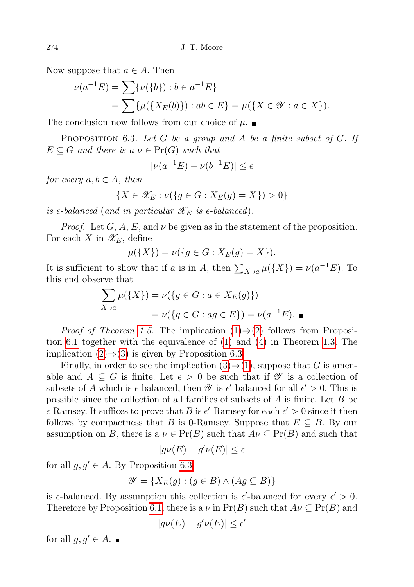Now suppose that  $a \in A$ . Then

$$
\nu(a^{-1}E) = \sum \{ \nu(\{b\}) : b \in a^{-1}E \}
$$
  
= 
$$
\sum \{ \mu(\{X_E(b)\}) : ab \in E \} = \mu(\{X \in \mathcal{Y} : a \in X \}).
$$

The conclusion now follows from our choice of  $\mu$ .

<span id="page-11-0"></span>PROPOSITION 6.3. Let G be a group and A be a finite subset of G. If  $E \subseteq G$  and there is a  $\nu \in Pr(G)$  such that

$$
|\nu(a^{-1}E) - \nu(b^{-1}E)| \le \epsilon
$$

for every  $a, b \in A$ , then

$$
\{X \in \mathscr{X}_E : \nu(\{g \in G : X_E(g) = X\}) > 0\}
$$

is  $\epsilon$ -balanced (and in particular  $\mathscr{X}_E$  is  $\epsilon$ -balanced).

*Proof.* Let  $G$ ,  $A$ ,  $E$ , and  $\nu$  be given as in the statement of the proposition. For each X in  $\mathscr{X}_E$ , define

$$
\mu({X}) = \nu({g \in G : X_E(g) = X}).
$$

It is sufficient to show that if a is in A, then  $\sum_{X \ni a} \mu({X}) = \nu(a^{-1}E)$ . To this end observe that

$$
\sum_{X \ni a} \mu(\{X\}) = \nu(\{g \in G : a \in X_E(g)\})
$$
  
=  $\nu(\{g \in G : ag \in E\}) = \nu(a^{-1}E).$ 

*Proof of Theorem [1.5.](#page-2-1)* The implication  $(1) \Rightarrow (2)$  $(1) \Rightarrow (2)$  $(1) \Rightarrow (2)$  follows from Proposition [6.1](#page-10-0) together with the equivalence of [\(1\)](#page-1-0) and [\(4\)](#page-1-1) in Theorem [1.3.](#page-1-4) The implication  $(2) \Rightarrow (3)$  $(2) \Rightarrow (3)$  $(2) \Rightarrow (3)$  is given by Proposition [6.3.](#page-11-0)

Finally, in order to see the implication  $(3) \Rightarrow (1)$  $(3) \Rightarrow (1)$  $(3) \Rightarrow (1)$ , suppose that G is amenable and  $A \subseteq G$  is finite. Let  $\epsilon > 0$  be such that if  $\mathscr Y$  is a collection of subsets of A which is  $\epsilon$ -balanced, then  $\mathscr Y$  is  $\epsilon'$ -balanced for all  $\epsilon' > 0$ . This is possible since the collection of all families of subsets of  $A$  is finite. Let  $B$  be  $\epsilon$ -Ramsey. It suffices to prove that B is  $\epsilon'$ -Ramsey for each  $\epsilon' > 0$  since it then follows by compactness that B is 0-Ramsey. Suppose that  $E \subseteq B$ . By our assumption on B, there is a  $\nu \in Pr(B)$  such that  $A\nu \subseteq Pr(B)$  and such that

$$
|g\nu(E) - g'\nu(E)| \le \epsilon
$$

for all  $g, g' \in A$ . By Proposition [6.3,](#page-11-0)

$$
\mathscr{Y} = \{ X_E(g) : (g \in B) \land (Ag \subseteq B) \}
$$

is  $\epsilon$ -balanced. By assumption this collection is  $\epsilon'$ -balanced for every  $\epsilon' > 0$ . Therefore by Proposition [6.1,](#page-10-0) there is a  $\nu$  in  $Pr(B)$  such that  $A\nu \subseteq Pr(B)$  and

$$
|g\nu(E) - g'\nu(E)| \le \epsilon'
$$

for all  $g, g' \in A$ .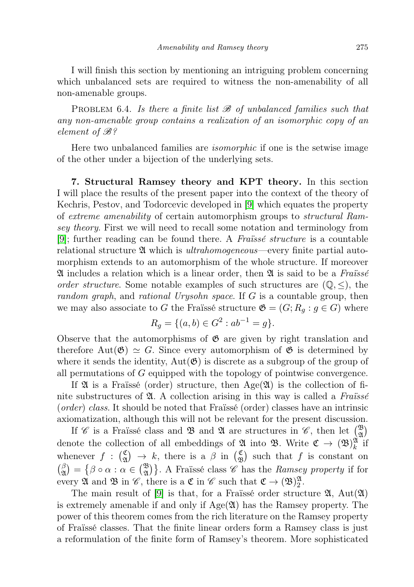I will finish this section by mentioning an intriguing problem concerning which unbalanced sets are required to witness the non-amenability of all non-amenable groups.

PROBLEM 6.4. Is there a finite list  $\mathscr B$  of unbalanced families such that any non-amenable group contains a realization of an isomorphic copy of an element of B?

Here two unbalanced families are isomorphic if one is the setwise image of the other under a bijection of the underlying sets.

<span id="page-12-0"></span>7. Structural Ramsey theory and KPT theory. In this section I will place the results of the present paper into the context of the theory of Kechris, Pestov, and Todorcevic developed in [\[9\]](#page-17-8) which equates the property of extreme amenability of certain automorphism groups to structural Ramsey theory. First we will need to recall some notation and terminology from [\[9\]](#page-17-8); further reading can be found there. A Fraïssé structure is a countable relational structure  $\mathfrak A$  which is *ultrahomogeneous*—every finite partial automorphism extends to an automorphism of the whole structure. If moreover  $\mathfrak A$  includes a relation which is a linear order, then  $\mathfrak A$  is said to be a Frances order structure. Some notable examples of such structures are  $(\mathbb{Q}, \leq)$ , the random graph, and rational Urysohn space. If G is a countable group, then we may also associate to G the Fraïssé structure  $\mathfrak{G} = (G; R_g : g \in G)$  where

$$
R_g = \{(a, b) \in G^2 : ab^{-1} = g\}.
$$

Observe that the automorphisms of  $\mathfrak{G}$  are given by right translation and therefore Aut $(\mathfrak{G}) \simeq G$ . Since every automorphism of  $\mathfrak{G}$  is determined by where it sends the identity,  $Aut(\mathfrak{G})$  is discrete as a subgroup of the group of all permutations of G equipped with the topology of pointwise convergence.

If  $\mathfrak A$  is a Fraïssé (order) structure, then Age $(\mathfrak A)$  is the collection of finite substructures of  $\mathfrak{A}$ . A collection arising in this way is called a Fraüssé (order) class. It should be noted that Fraïssé (order) classes have an intrinsic axiomatization, although this will not be relevant for the present discussion.

If  $\mathscr C$  is a Fraïssé class and  $\mathfrak B$  and  $\mathfrak A$  are structures in  $\mathscr C$ , then let  $\binom{\mathfrak B}{\mathfrak A}$ denote the collection of all embeddings of  $\mathfrak{A}$  into  $\mathfrak{B}$ . Write  $\mathfrak{C} \to (\mathfrak{B})^{\mathfrak{A}}_k$  if whenever  $f : (\frac{\mathfrak{C}}{\mathfrak{A}})$  $\begin{array}{c} \mathfrak{C} \\ \mathfrak{A} \end{array} \rightarrow k$ , there is a  $\beta$  in  $\begin{array}{c} \mathfrak{C} \\ \mathfrak{D} \end{array}$  $\begin{pmatrix} \mathfrak{C} \\ \mathfrak{B} \end{pmatrix}$  such that f is constant on  $\beta$  $\hat{A}_{\alpha}^{(\beta)} = \{\beta \circ \alpha : \alpha \in {\binom{\mathfrak{B}}{2}}\}.$  A Fraïssé class  $\mathscr{C}$  has the *Ramsey property* if for every  $\mathfrak A$  and  $\mathfrak B$  in  $\mathscr C$ , there is a  $\mathfrak C$  in  $\mathscr C$  such that  $\mathfrak C \to (\mathfrak B)^{\mathfrak A}_2$ .

The main result of [\[9\]](#page-17-8) is that, for a Fraïssé order structure  $\mathfrak{A}, \text{Aut}(\mathfrak{A})$ is extremely amenable if and only if  $Age(2)$  has the Ramsey property. The power of this theorem comes from the rich literature on the Ramsey property of Fraïssé classes. That the finite linear orders form a Ramsey class is just a reformulation of the finite form of Ramsey's theorem. More sophisticated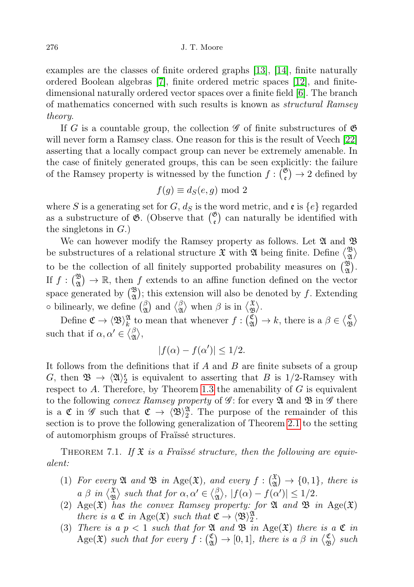examples are the classes of finite ordered graphs [\[13\]](#page-17-15), [\[14\]](#page-17-16), finite naturally ordered Boolean algebras [\[7\]](#page-17-17), finite ordered metric spaces [\[12\]](#page-17-18), and finitedimensional naturally ordered vector spaces over a finite field [\[6\]](#page-17-19). The branch of mathematics concerned with such results is known as structural Ramsey theory.

If G is a countable group, the collection  $\mathscr G$  of finite substructures of  $\mathfrak G$ will never form a Ramsey class. One reason for this is the result of Veech [\[22\]](#page-17-20) asserting that a locally compact group can never be extremely amenable. In the case of finitely generated groups, this can be seen explicitly: the failure of the Ramsey property is witnessed by the function  $f: \binom{\mathfrak{G}}{\mathfrak{e}} \to 2$  defined by

$$
f(g) \equiv d_S(e, g) \bmod 2
$$

where S is a generating set for G,  $d_S$  is the word metric, and  $\mathfrak{e}$  is  $\{e\}$  regarded as a substructure of  $\mathfrak{G}$ . (Observe that  $\binom{\mathfrak{G}}{\mathfrak{e}}$  can naturally be identified with the singletons in  $G$ .)

We can however modify the Ramsey property as follows. Let  $\mathfrak A$  and  $\mathfrak B$ be substructures of a relational structure  $\mathfrak X$  with  $\mathfrak A$  being finite. Define  $\binom{\mathfrak B}{\mathfrak A}$  $_{\mathfrak{A}}^{\mathfrak{B}}\rangle$ to be the collection of all finitely supported probability measures on  $\binom{\mathfrak{B}}{\mathfrak{A}}$ . If  $f: \binom{\mathfrak{B}}{\mathfrak{A}} \to \mathbb{R}$ , then f extends to an affine function defined on the vector space generated by  $\binom{\mathfrak{B}}{\mathfrak{A}}$ ; this extension will also be denoted by f. Extending  $\circ$  bilinearly, we define  $\begin{pmatrix} \beta \\ \gamma \end{pmatrix}$  $\frac{\beta}{\mathfrak{A}}$  and  $\big\langle \frac{\beta}{\mathfrak{A}}$  $\frac{\beta}{\mathfrak{A}}$  when  $\beta$  is in  $\begin{matrix} \mathfrak{X} \\ \mathfrak{B} \end{matrix}$  $\mathfrak{B} \rangle.$ 

Define  $\mathfrak{C} \to \langle \mathfrak{B} \rangle_k^{\mathfrak{A}}$  to mean that whenever  $f : \begin{pmatrix} \mathfrak{C} \\ \mathfrak{A} \end{pmatrix}$  $\begin{matrix} \mathfrak{C} \\ \mathfrak{A} \end{matrix} \rightarrow k$ , there is a  $\beta \in \langle \mathfrak{C} \rangle$  $\mathfrak{B}^{\mathfrak{C}}$ such that if  $\alpha, \alpha' \in \langle \beta \rangle$  $_{\mathfrak{A}}^{\beta}\rangle,$ 

$$
|f(\alpha) - f(\alpha')| \le 1/2.
$$

It follows from the definitions that if  $A$  and  $B$  are finite subsets of a group G, then  $\mathfrak{B} \to \langle \mathfrak{A} \rangle^{\mathfrak{e}}_2$  is equivalent to asserting that B is 1/2-Ramsey with respect to  $A$ . Therefore, by Theorem [1.3](#page-1-4) the amenability of  $G$  is equivalent to the following *convex Ramsey property* of  $\mathscr{G}$ : for every  $\mathfrak A$  and  $\mathfrak B$  in  $\mathscr{G}$  there is a  $\mathfrak{C}$  in  $\mathscr{G}$  such that  $\mathfrak{C} \to \langle \mathfrak{B} \rangle^{\mathfrak{A}}_2$ . The purpose of the remainder of this section is to prove the following generalization of Theorem [2.1](#page-3-0) to the setting of automorphism groups of Fraïssé structures.

THEOREM 7.1. If  $\mathfrak X$  is a Fraïssé structure, then the following are equivalent:

- <span id="page-13-0"></span>(1) For every  $\mathfrak A$  and  $\mathfrak B$  in Age $(\mathfrak X)$ , and every  $f: \begin{pmatrix} \mathfrak X \\ \mathfrak A \end{pmatrix} \to \{0,1\}$ , there is  $a \beta$  in  $\langle \frac{\mathfrak{X}}{\mathfrak{B}} \rangle$  $\mathcal{L}_{\mathfrak{B}}^{\mathfrak{X}}$  such that for  $\alpha, \alpha' \in \langle \beta \rangle$  $\begin{aligned} \n\frac{\beta}{\mathfrak{A}}, \ |f(\alpha) - f(\alpha')| \leq 1/2. \n\end{aligned}$
- <span id="page-13-1"></span>(2) Age $(\mathfrak{X})$  has the convex Ramsey property: for  $\mathfrak{A}$  and  $\mathfrak{B}$  in Age $(\mathfrak{X})$ there is a  $\mathfrak{C}$  in Age $(\mathfrak{X})$  such that  $\mathfrak{C} \to \langle \mathfrak{B} \rangle^{\mathfrak{A}}_2$ .
- (3) There is a  $p < 1$  such that for  $\mathfrak A$  and  $\mathfrak B$  in Age( $\mathfrak X$ ) there is a  $\mathfrak C$  in Age( $\mathfrak{X}$ ) such that for every  $f:$  $\begin{array}{c} \mathfrak{C} \\ \mathfrak{A} \end{array} \rightarrow [0,1],$  there is a  $\beta$  in  $\begin{array}{c} \mathfrak{C} \\ \mathfrak{D} \end{array}$  $\binom{\mathfrak{C}}{\mathfrak{B}}$  such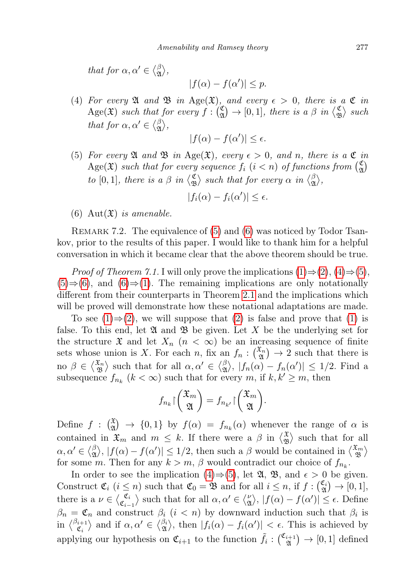that for  $\alpha, \alpha' \in \langle \beta \rangle$  $_{\mathfrak{A}}^{\beta}\rangle,$ 

$$
|f(\alpha) - f(\alpha')| \le p.
$$

<span id="page-14-2"></span>(4) For every  $\mathfrak A$  and  $\mathfrak B$  in Age( $\mathfrak X$ ), and every  $\epsilon > 0$ , there is a  $\mathfrak C$  in Age( $\mathfrak{X}$ ) such that for every  $f:$  $\begin{array}{c} \mathfrak{C} \\ \mathfrak{A} \end{array} \rightarrow [0,1],$  there is a  $\beta$  in  $\begin{array}{c} \sqrt{\mathfrak{C}} \\ \mathfrak{D} \end{array}$  $\binom{c}{\mathfrak{B}}$  such that for  $\alpha, \alpha' \in \langle \beta \rangle$  $_{\mathfrak{A}}^{\beta}\rangle,$ 

$$
|f(\alpha) - f(\alpha')| \le \epsilon.
$$

<span id="page-14-0"></span>(5) For every  $\mathfrak A$  and  $\mathfrak B$  in Age( $\mathfrak X$ ), every  $\epsilon > 0$ , and n, there is a  $\mathfrak C$  in  $\text{Age}(\mathfrak{X})$  such that for every sequence  $f_i$   $(i < n)$  of functions from  $\binom{6}{2}$  $\binom{c}{\mathfrak{A}}$ to [0, 1], there is a  $\beta$  in  $\langle \xi \rangle$  $\binom{\mathfrak{C}}{\mathfrak{B}}$  such that for every  $\alpha$  in  $\binom{\beta}{\mathfrak{A}}$  $\begin{matrix} \beta \\ \mathfrak A \end{matrix}$ 

$$
|f_i(\alpha) - f_i(\alpha')| \le \epsilon.
$$

<span id="page-14-1"></span>(6) Aut $(\mathfrak{X})$  is amenable.

REMARK 7.2. The equivalence of [\(5\)](#page-14-0) and [\(6\)](#page-14-1) was noticed by Todor Tsankov, prior to the results of this paper. I would like to thank him for a helpful conversation in which it became clear that the above theorem should be true.

*Proof of Theorem 7.1.* I will only prove the implications  $(1) \Rightarrow (2), (4) \Rightarrow (5),$  $(1) \Rightarrow (2), (4) \Rightarrow (5),$  $(1) \Rightarrow (2), (4) \Rightarrow (5),$  $(1) \Rightarrow (2), (4) \Rightarrow (5),$  $(1) \Rightarrow (2), (4) \Rightarrow (5),$  $(1) \Rightarrow (2), (4) \Rightarrow (5),$  $(1) \Rightarrow (2), (4) \Rightarrow (5),$  $(1) \Rightarrow (2), (4) \Rightarrow (5),$  $(5) \Rightarrow (6)$  $(5) \Rightarrow (6)$  $(5) \Rightarrow (6)$ , and  $(6) \Rightarrow (1)$  $(6) \Rightarrow (1)$ . The remaining implications are only notationally different from their counterparts in Theorem [2.1](#page-3-0) and the implications which will be proved will demonstrate how these notational adaptations are made.

To see  $(1) \Rightarrow (2)$  $(1) \Rightarrow (2)$  $(1) \Rightarrow (2)$ , we will suppose that  $(2)$  is false and prove that  $(1)$  is false. To this end, let  $\mathfrak{A}$  and  $\mathfrak{B}$  be given. Let X be the underlying set for the structure  $\mathfrak X$  and let  $X_n$   $(n < \infty)$  be an increasing sequence of finite sets whose union is X. For each n, fix an  $f_n: \binom{x_n}{\mathfrak{A}} \to 2$  such that there is no  $\beta \in \langle \frac{\mathfrak{X}_n}{\mathfrak{B}} \rangle$  $\begin{pmatrix} \mathfrak{x}_n \\ \mathfrak{B} \end{pmatrix}$  such that for all  $\alpha, \alpha' \in \begin{pmatrix} \beta \\ \mathfrak{B} \end{pmatrix}$  $\vert g \rangle$ ,  $\vert f_n(\alpha) - f_n(\alpha') \vert \leq 1/2$ . Find a subsequence  $f_{n_k}$   $(k < \infty)$  such that for every m, if  $k, k' \geq m$ , then

$$
f_{n_k}\big\lceil \binom{\mathfrak{X}_m}{\mathfrak{A}} \big\rceil = f_{n_{k'}}\big\lceil \binom{\mathfrak{X}_m}{\mathfrak{A}} \big\rceil.
$$

Define  $f: \begin{pmatrix} x \ y \end{pmatrix} \rightarrow \{0,1\}$  by  $f(\alpha) = f_{n_k}(\alpha)$  whenever the range of  $\alpha$  is contained in  $\mathfrak{X}_m$  and  $m \leq k$ . If there were a  $\beta$  in  $\left\langle \frac{\mathfrak{X}}{\mathfrak{M}} \right\rangle$  $\mathcal{L}_{\mathfrak{B}}^{\mathfrak{X}}$  such that for all  $\alpha,\alpha'\in\lang^{\beta}_\mathfrak{A}$  $|\mathcal{A}_{\mathfrak{A}}\rangle$ ,  $|f(\alpha)-f(\alpha')|\leq 1/2$ , then such a  $\beta$  would be contained in  $\langle \mathcal{A}_{\mathfrak{B}}^{\mathfrak{X}_{m}}\rangle$  $\genfrac{\{}{\}}{0pt}{}{\mathfrak{X}}{ \mathfrak{B}}$ for some m. Then for any  $k > m$ ,  $\beta$  would contradict our choice of  $f_{n_k}$ .

In order to see the implication [\(4\)](#page-14-2)⇒[\(5\)](#page-14-0), let  $\mathfrak{A}, \mathfrak{B},$  and  $\epsilon > 0$  be given. Construct  $\mathfrak{C}_i$   $(i \leq n)$  such that  $\mathfrak{C}_0 = \mathfrak{B}$  and for all  $i \leq n$ , if  $f : \begin{pmatrix} \mathfrak{C}_i \\ \mathfrak{A} \end{pmatrix} \to [0, 1],$ there is a  $\nu \in \langle \mathcal{E}_i \rangle$  $\langle \mathfrak{C}_i \atop \mathfrak{C}_{i-1} \rangle$  such that for all  $\alpha, \alpha' \in \langle \mathfrak{C}_i \rangle$  $\langle \hat{\mathbf{a}} \rangle, |f(\alpha) - f(\alpha')| \leq \epsilon.$  Define  $\beta_n = \mathfrak{C}_n$  and construct  $\beta_i$  ( $i < n$ ) by downward induction such that  $\beta_i$  is in  $\langle \begin{smallmatrix} \beta_{i+1} \\ \sigma \end{smallmatrix} \rangle$  $\langle \xi_i^{(i+1)} \rangle$  and if  $\alpha, \alpha' \in \langle \xi_i^{(i)} \rangle$ , then  $|f_i(\alpha) - f_i(\alpha')| < \epsilon$ . This is achieved by applying our hypothesis on  $\mathfrak{C}_{i+1}$  to the function  $\tilde{f}_i: \begin{pmatrix} \mathfrak{C}_{i+1} \\ \mathfrak{A} \end{pmatrix}$  $\binom{i+1}{\mathfrak{A}} \to [0,1]$  defined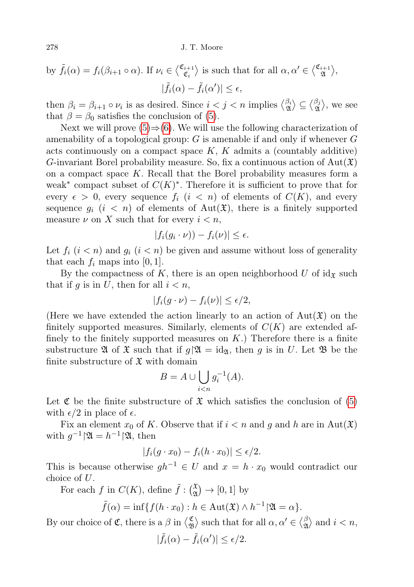by 
$$
\tilde{f}_i(\alpha) = f_i(\beta_{i+1} \circ \alpha)
$$
. If  $\nu_i \in \langle \frac{\mathfrak{C}_{i+1}}{\mathfrak{C}_i} \rangle$  is such that for all  $\alpha, \alpha' \in \langle \frac{\mathfrak{C}_{i+1}}{\mathfrak{A}} \rangle$ ,  
 $|\tilde{f}_i(\alpha) - \tilde{f}_i(\alpha')| \le \epsilon$ ,

then  $\beta_i = \beta_{i+1} \circ \nu_i$  is as desired. Since  $i < j < n$  implies  $\langle \frac{\beta_i}{\mathfrak{A}} \rangle \subseteq \langle \frac{\beta_j}{\mathfrak{A}} \rangle$  $\begin{bmatrix} \beta_j \\ \mathfrak{A} \end{bmatrix}$ , we see that  $\beta = \beta_0$  satisfies the conclusion of [\(5\)](#page-14-0).

Next we will prove  $(5) \Rightarrow (6)$  $(5) \Rightarrow (6)$  $(5) \Rightarrow (6)$ . We will use the following characterization of amenability of a topological group:  $G$  is amenable if and only if whenever  $G$ acts continuously on a compact space  $K$ ,  $K$  admits a (countably additive) G-invariant Borel probability measure. So, fix a continuous action of  $Aut(\mathfrak{X})$ on a compact space  $K$ . Recall that the Borel probability measures form a weak<sup>\*</sup> compact subset of  $C(K)^*$ . Therefore it is sufficient to prove that for every  $\epsilon > 0$ , every sequence  $f_i$   $(i < n)$  of elements of  $C(K)$ , and every sequence  $g_i$   $(i < n)$  of elements of Aut $(\mathfrak{X})$ , there is a finitely supported measure  $\nu$  on X such that for every  $i < n$ ,

$$
|f_i(g_i \cdot \nu)) - f_i(\nu)| \le \epsilon.
$$

Let  $f_i$   $(i < n)$  and  $g_i$   $(i < n)$  be given and assume without loss of generality that each  $f_i$  maps into [0, 1].

By the compactness of K, there is an open neighborhood U of  $id_{\mathfrak{X}}$  such that if g is in U, then for all  $i < n$ ,

$$
|f_i(g \cdot \nu) - f_i(\nu)| \le \epsilon/2,
$$

(Here we have extended the action linearly to an action of  $\text{Aut}(\mathfrak{X})$  on the finitely supported measures. Similarly, elements of  $C(K)$  are extended affinely to the finitely supported measures on  $K$ .) Therefore there is a finite substructure  $\mathfrak A$  of  $\mathfrak X$  such that if  $g\mathfrak A = id_{\mathfrak A}$ , then g is in U. Let  $\mathfrak B$  be the finite substructure of  $\mathfrak X$  with domain

$$
B = A \cup \bigcup_{i < n} g_i^{-1}(A).
$$

Let  $\mathfrak C$  be the finite substructure of  $\mathfrak X$  which satisfies the conclusion of [\(5\)](#page-14-0) with  $\epsilon/2$  in place of  $\epsilon$ .

Fix an element  $x_0$  of K. Observe that if  $i < n$  and g and h are in Aut $(\mathfrak{X})$ with  $g^{-1}|\mathfrak{A}=h^{-1}|\mathfrak{A},$  then

$$
|f_i(g \cdot x_0) - f_i(h \cdot x_0)| \le \epsilon/2.
$$

This is because otherwise  $gh^{-1} \in U$  and  $x = h \cdot x_0$  would contradict our choice of U.

For each f in  $C(K)$ , define  $\tilde{f}: \binom{\mathfrak{X}}{\mathfrak{A}} \to [0,1]$  by

$$
\tilde{f}(\alpha) = \inf\{f(h \cdot x_0) : h \in \text{Aut}(\mathfrak{X}) \wedge h^{-1} | \mathfrak{A} = \alpha\}.
$$

By our choice of  $\mathfrak{C}$ , there is a  $\beta$  in  $\langle \xi \rangle$  $\mathcal{L}_{\mathfrak{B}}^{\mathfrak{C}}$  such that for all  $\alpha, \alpha' \in \langle \beta \rangle$  $\mathcal{L}_{\mathfrak{A}}^{\beta}$  and  $i < n$ ,

$$
|\tilde{f}_i(\alpha) - \tilde{f}_i(\alpha')| \le \epsilon/2.
$$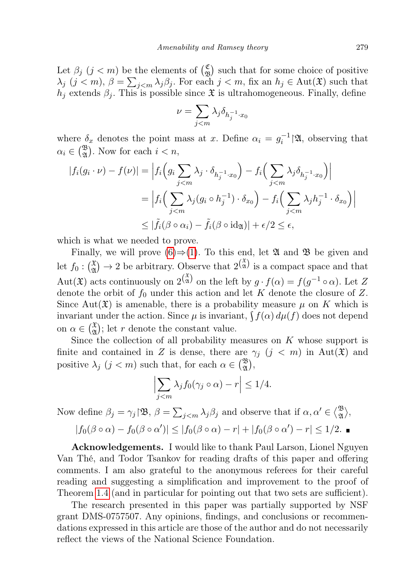Let  $\beta_j$   $(j < m)$  be the elements of  $\binom{\mathfrak{C}}{\mathfrak{R}}$  $\binom{c}{\mathfrak{B}}$  such that for some choice of positive  $\lambda_j$   $(j < m)$ ,  $\beta = \sum_{j < m} \lambda_j \beta_j$ . For each  $j < m$ , fix an  $h_j \in \text{Aut}(\mathfrak{X})$  such that  $h_j$  extends  $\beta_j$ . This is possible since  $\mathfrak X$  is ultrahomogeneous. Finally, define

$$
\nu = \sum_{j < m} \lambda_j \delta_{h_j^{-1} \cdot x_0}
$$

where  $\delta_x$  denotes the point mass at x. Define  $\alpha_i = g_i^{-1} | \mathfrak{A}$ , observing that  $\alpha_i \in \binom{\mathfrak{B}}{\mathfrak{A}}$ . Now for each  $i < n$ ,

$$
|f_i(g_i \cdot \nu) - f(\nu)| = \left| f_i\left(g_i \sum_{j < m} \lambda_j \cdot \delta_{h_j^{-1} \cdot x_0}\right) - f_i\left(\sum_{j < m} \lambda_j \delta_{h_j^{-1} \cdot x_0}\right) \right|
$$
\n
$$
= \left| f_i\left(\sum_{j < m} \lambda_j (g_i \circ h_j^{-1}) \cdot \delta_{x_0}\right) - f_i\left(\sum_{j < m} \lambda_j h_j^{-1} \cdot \delta_{x_0}\right) \right|
$$
\n
$$
\leq |\tilde{f}_i(\beta \circ \alpha_i) - \tilde{f}_i(\beta \circ \mathrm{id}_{\mathfrak{A}})| + \epsilon/2 \leq \epsilon,
$$

which is what we needed to prove.

Finally, we will prove  $(6) \Rightarrow (1)$  $(6) \Rightarrow (1)$  $(6) \Rightarrow (1)$ . To this end, let  $\mathfrak A$  and  $\mathfrak B$  be given and let  $f_0: (\frac{x}{x}) \to 2$  be arbitrary. Observe that  $2^{(\frac{x}{x})}$  is a compact space and that Aut $(\mathfrak{X})$  acts continuously on  $2^{(\mathfrak{X})}_{\mathfrak{A}}$  on the left by  $g \cdot f(\alpha) = f(g^{-1} \circ \alpha)$ . Let Z denote the orbit of  $f_0$  under this action and let K denote the closure of Z. Since Aut $(\mathfrak{X})$  is amenable, there is a probability measure  $\mu$  on K which is invariant under the action. Since  $\mu$  is invariant,  $\int f(\alpha) d\mu(f)$  does not depend on  $\alpha \in \left(\begin{matrix} \mathfrak{X} \\ \mathfrak{A} \end{matrix}\right)$ ; let r denote the constant value.

Since the collection of all probability measures on  $K$  whose support is finite and contained in Z is dense, there are  $\gamma_i$  ( $j < m$ ) in Aut( $\mathfrak{X}$ ) and positive  $\lambda_j$   $(j < m)$  such that, for each  $\alpha \in {\mathfrak{B} \choose \mathfrak{A}}$ ,

$$
\left|\sum_{j
$$

Now define  $\beta_j = \gamma_j \setminus \mathfrak{B}, \ \beta = \sum_{j < m} \lambda_j \beta_j$  and observe that if  $\alpha, \alpha' \in \binom{\mathfrak{B}}{\mathfrak{A}}$  $\begin{array}{c}\mathfrak{B}\ \mathfrak{A}\end{array}\rangle,$ 

$$
|f_0(\beta \circ \alpha) - f_0(\beta \circ \alpha')| \leq |f_0(\beta \circ \alpha) - r| + |f_0(\beta \circ \alpha') - r| \leq 1/2. \blacksquare
$$

Acknowledgements. I would like to thank Paul Larson, Lionel Nguyen Van Thé, and Todor Tsankov for reading drafts of this paper and offering comments. I am also grateful to the anonymous referees for their careful reading and suggesting a simplification and improvement to the proof of Theorem [1.4](#page-2-0) (and in particular for pointing out that two sets are sufficient).

The research presented in this paper was partially supported by NSF grant DMS-0757507. Any opinions, findings, and conclusions or recommendations expressed in this article are those of the author and do not necessarily reflect the views of the National Science Foundation.